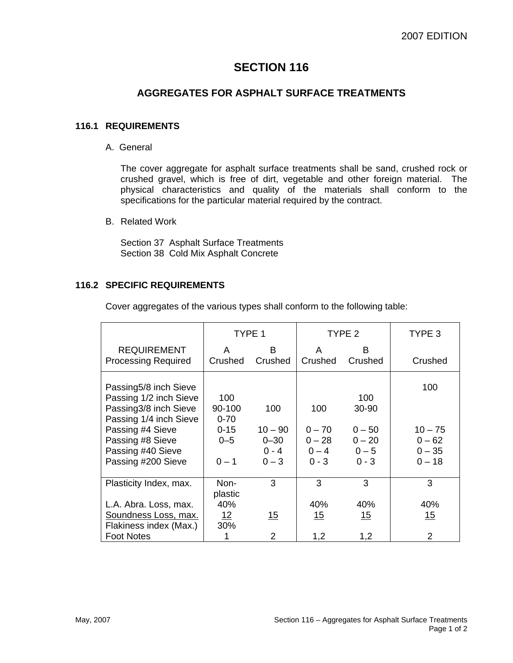# **SECTION 116**

## **AGGREGATES FOR ASPHALT SURFACE TREATMENTS**

#### **116.1 REQUIREMENTS**

A. General

The cover aggregate for asphalt surface treatments shall be sand, crushed rock or crushed gravel, which is free of dirt, vegetable and other foreign material. The physical characteristics and quality of the materials shall conform to the specifications for the particular material required by the contract.

B. Related Work

Section 37 Asphalt Surface Treatments Section 38 Cold Mix Asphalt Concrete

#### **116.2 SPECIFIC REQUIREMENTS**

Cover aggregates of the various types shall conform to the following table:

|                                                                                                                                                                                       | TYPE 1                                                      |                                                    | TYPE <sub>2</sub>                                 |                                                            | TYPE <sub>3</sub>                                    |
|---------------------------------------------------------------------------------------------------------------------------------------------------------------------------------------|-------------------------------------------------------------|----------------------------------------------------|---------------------------------------------------|------------------------------------------------------------|------------------------------------------------------|
| <b>REQUIREMENT</b>                                                                                                                                                                    | A                                                           | B                                                  | A                                                 | B                                                          |                                                      |
| <b>Processing Required</b>                                                                                                                                                            | Crushed                                                     | Crushed                                            | Crushed                                           | Crushed                                                    | Crushed                                              |
| Passing5/8 inch Sieve<br>Passing 1/2 inch Sieve<br>Passing3/8 inch Sieve<br>Passing 1/4 inch Sieve<br>Passing #4 Sieve<br>Passing #8 Sieve<br>Passing #40 Sieve<br>Passing #200 Sieve | 100<br>90-100<br>$0 - 70$<br>$0 - 15$<br>$0 - 5$<br>$0 - 1$ | 100<br>$10 - 90$<br>$0 - 30$<br>$0 - 4$<br>$0 - 3$ | 100<br>$0 - 70$<br>$0 - 28$<br>$0 - 4$<br>$0 - 3$ | 100<br>30-90<br>$0 - 50$<br>$0 - 20$<br>$0 - 5$<br>$0 - 3$ | 100<br>$10 - 75$<br>$0 - 62$<br>$0 - 35$<br>$0 - 18$ |
| Plasticity Index, max.                                                                                                                                                                | Non-                                                        | 3                                                  | 3                                                 | 3                                                          | 3                                                    |
|                                                                                                                                                                                       | plastic                                                     |                                                    |                                                   |                                                            |                                                      |
| L.A. Abra. Loss, max.                                                                                                                                                                 | 40%                                                         |                                                    | 40%                                               | 40%                                                        | 40%                                                  |
| Soundness Loss, max.                                                                                                                                                                  | <u>12</u>                                                   | <u> 15</u>                                         | <u>15</u>                                         | <u> 15</u>                                                 | <u> 15</u>                                           |
| Flakiness index (Max.)                                                                                                                                                                | 30%                                                         |                                                    |                                                   |                                                            |                                                      |
| <b>Foot Notes</b>                                                                                                                                                                     |                                                             | 2                                                  | 1,2                                               | 1,2                                                        | 2                                                    |